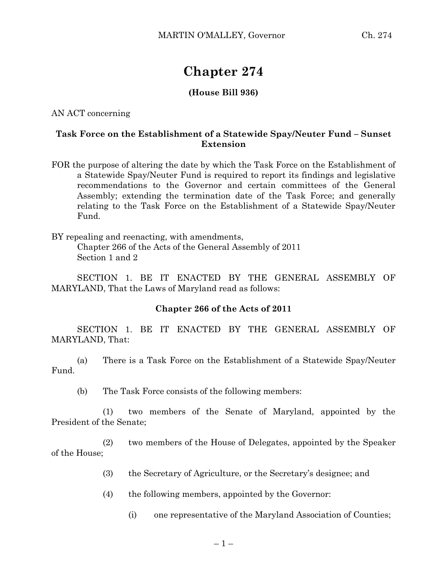## **Chapter 274**

## **(House Bill 936)**

AN ACT concerning

## **Task Force on the Establishment of a Statewide Spay/Neuter Fund – Sunset Extension**

FOR the purpose of altering the date by which the Task Force on the Establishment of a Statewide Spay/Neuter Fund is required to report its findings and legislative recommendations to the Governor and certain committees of the General Assembly; extending the termination date of the Task Force; and generally relating to the Task Force on the Establishment of a Statewide Spay/Neuter Fund.

BY repealing and reenacting, with amendments, Chapter 266 of the Acts of the General Assembly of 2011 Section 1 and 2

SECTION 1. BE IT ENACTED BY THE GENERAL ASSEMBLY OF MARYLAND, That the Laws of Maryland read as follows:

## **Chapter 266 of the Acts of 2011**

SECTION 1. BE IT ENACTED BY THE GENERAL ASSEMBLY OF MARYLAND, That:

(a) There is a Task Force on the Establishment of a Statewide Spay/Neuter Fund.

(b) The Task Force consists of the following members:

(1) two members of the Senate of Maryland, appointed by the President of the Senate;

(2) two members of the House of Delegates, appointed by the Speaker of the House;

- (3) the Secretary of Agriculture, or the Secretary's designee; and
- (4) the following members, appointed by the Governor:
	- (i) one representative of the Maryland Association of Counties;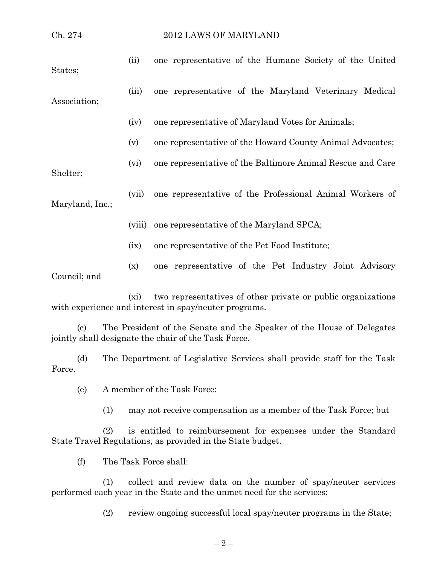| Ch. 274         |         | 2012 LAWS OF MARYLAND                                                                                                                                                                                                                                                                                                         |
|-----------------|---------|-------------------------------------------------------------------------------------------------------------------------------------------------------------------------------------------------------------------------------------------------------------------------------------------------------------------------------|
| States;         | (ii)    | one representative of the Humane Society of the United                                                                                                                                                                                                                                                                        |
| Association;    | (iii)   | one representative of the Maryland Veterinary Medical                                                                                                                                                                                                                                                                         |
|                 | (iv)    | one representative of Maryland Votes for Animals;                                                                                                                                                                                                                                                                             |
|                 | (v)     | one representative of the Howard County Animal Advocates;                                                                                                                                                                                                                                                                     |
| Shelter;        | (vi)    | one representative of the Baltimore Animal Rescue and Care                                                                                                                                                                                                                                                                    |
| Maryland, Inc.; | (vii)   | one representative of the Professional Animal Workers of                                                                                                                                                                                                                                                                      |
|                 | (viii)  | one representative of the Maryland SPCA;                                                                                                                                                                                                                                                                                      |
|                 | (ix)    | one representative of the Pet Food Institute;                                                                                                                                                                                                                                                                                 |
| Council; and    | (x)     | one representative of the Pet Industry Joint Advisory                                                                                                                                                                                                                                                                         |
|                 | $(x_i)$ | two representatives of other private or public organizations<br>with experience and interest in spay/neuter programs.                                                                                                                                                                                                         |
|                 |         | $\mathbf{m}$ and $\mathbf{m}$ and $\mathbf{m}$ and $\mathbf{m}$ and $\mathbf{m}$ and $\mathbf{m}$ and $\mathbf{m}$ and $\mathbf{m}$ and $\mathbf{m}$ and $\mathbf{m}$ and $\mathbf{m}$ and $\mathbf{m}$ and $\mathbf{m}$ and $\mathbf{m}$ and $\mathbf{m}$ and $\mathbf{m}$ and $\mathbf{m}$ and<br>$0.1$ TT<br>$c_{\rm D}$ 1 |

(c) The President of the Senate and the Speaker of the House of Delegates jointly shall designate the chair of the Task Force.

(d) The Department of Legislative Services shall provide staff for the Task Force.

(e) A member of the Task Force:

(1) may not receive compensation as a member of the Task Force; but

(2) is entitled to reimbursement for expenses under the Standard State Travel Regulations, as provided in the State budget.

(f) The Task Force shall:

(1) collect and review data on the number of spay/neuter services performed each year in the State and the unmet need for the services;

(2) review ongoing successful local spay/neuter programs in the State;